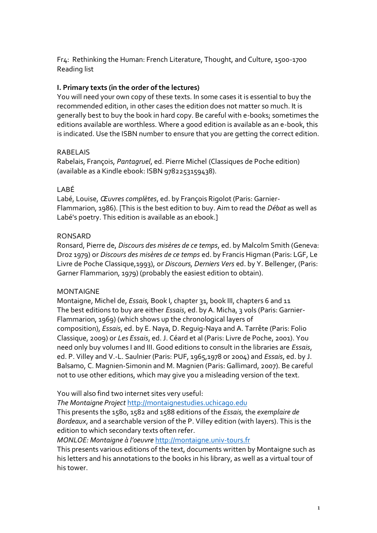Fr4: Rethinking the Human: French Literature, Thought, and Culture, 1500-1700 Reading list

#### **I. Primary texts (in the order of the lectures)**

You will need your own copy of these texts. In some cases it is essential to buy the recommended edition, in other cases the edition does not matter so much. It is generally best to buy the book in hard copy. Be careful with e-books; sometimes the editions available are worthless. Where a good edition is available as an e-book, this is indicated. Use the ISBN number to ensure that you are getting the correct edition.

#### RABELAIS

Rabelais, François, *Pantagruel*, ed. Pierre Michel (Classiques de Poche edition) (available as a Kindle ebook: ISBN 9782253159438).

#### LABÉ

Labé, Louise, *Œuvres complètes*, ed. by François Rigolot (Paris: Garnier-Flammarion, 1986). [This is the best edition to buy. Aim to read the *Débat* as well as Labé's poetry. This edition is available as an ebook.]

#### RONSARD

Ronsard, Pierre de, *Discours des misères de ce temps*, ed. by Malcolm Smith (Geneva: Droz 1979) or *Discours des misères de ce temps* ed. by Francis Higman (Paris: LGF, Le Livre de Poche Classique,1993), or *Discours, Derniers Vers* ed. by Y. Bellenger, (Paris: Garner Flammarion, 1979) (probably the easiest edition to obtain).

#### MONTAIGNE

Montaigne, Michel de, *Essais,* Book I, chapter 31, book III, chapters 6 and 11 The best editions to buy are either *Essais*, ed. by A. Micha, 3 vols (Paris: Garnier-Flammarion, 1969) (which shows up the chronological layers of composition), *Essais*, ed. by E. Naya, D. Reguig-Naya and A. Tarrête (Paris: Folio Classique, 2009) or *Les Essais*, ed. J. Céard et al (Paris: Livre de Poche, 2001). You need only buy volumes I and III. Good editions to consult in the libraries are *Essais*, ed. P. Villey and V.-L. Saulnier (Paris: PUF, 1965,1978 or 2004) and *Essais*, ed. by J. Balsamo, C. Magnien-Simonin and M. Magnien (Paris: Gallimard, 2007). Be careful not to use other editions, which may give you a misleading version of the text.

You will also find two internet sites very useful:

*The Montaigne Project* [http://montaignestudies.uchicago.edu](about:blank)

This presents the 1580, 1582 and 1588 editions of the *Essais,* the *exemplaire de Bordeaux*, and a searchable version of the P. Villey edition (with layers). This is the edition to which secondary texts often refer.

*MONLOE: Montaigne à l'oeuvre* [http://montaigne.univ-tours.fr](about:blank)

This presents various editions of the text, documents written by Montaigne such as his letters and his annotations to the books in his library, as well as a virtual tour of his tower.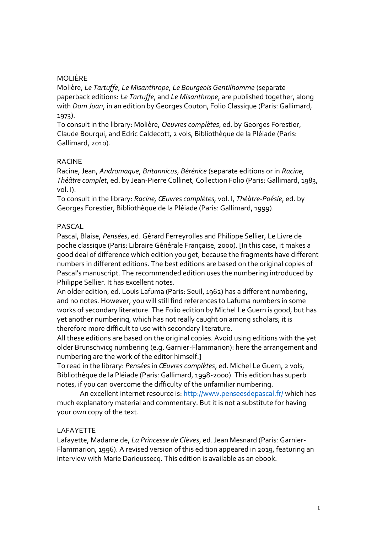#### MOLIÈRE

Molière, *Le Tartuffe*, *Le Misanthrope*, *Le Bourgeois Gentilhomme* (separate paperback editions: *Le Tartuffe*, and *Le Misanthrope*, are published together, along with *Dom Juan*, in an edition by Georges Couton, Folio Classique (Paris: Gallimard, 1973).

To consult in the library: Molière, *Oeuvres complètes*, ed. by Georges Forestier, Claude Bourqui, and Edric Caldecott, 2 vols, Bibliothèque de la Pléiade (Paris: Gallimard, 2010).

#### RACINE

Racine, Jean, *Andromaque*, *Britannicus*, *Bérénice* (separate editions or in *Racine, Théâtre complet*, ed. by Jean-Pierre Collinet, Collection Folio (Paris: Gallimard, 1983, vol. I).

To consult in the library: *Racine, Œuvres complètes,* vol. I, *Théàtre-Poésie*, ed. by Georges Forestier, Bibliothèque de la Pléiade (Paris: Gallimard, 1999).

#### PASCAL

Pascal, Blaise, *Pensées*, ed. Gérard Ferreyrolles and Philippe Sellier, Le Livre de poche classique (Paris: Libraire Générale Française, 2000). [In this case, it makes a good deal of difference which edition you get, because the fragments have different numbers in different editions. The best editions are based on the original copies of Pascal's manuscript. The recommended edition uses the numbering introduced by Philippe Sellier. It has excellent notes.

An older edition, ed. Louis Lafuma (Paris: Seuil, 1962) has a different numbering, and no notes. However, you will still find references to Lafuma numbers in some works of secondary literature. The Folio edition by Michel Le Guern is good, but has yet another numbering, which has not really caught on among scholars; it is therefore more difficult to use with secondary literature.

All these editions are based on the original copies. Avoid using editions with the yet older Brunschvicg numbering (e.g. Garnier-Flammarion): here the arrangement and numbering are the work of the editor himself.]

To read in the library: *Pensées* in *Œuvres complètes*, ed. Michel Le Guern, 2 vols, Bibliothèque de la Pléiade (Paris: Gallimard, 1998-2000). This edition has superb notes, if you can overcome the difficulty of the unfamiliar numbering.

An excellent internet resource is: [http://www.penseesdepascal.fr/](about:blank) which has much explanatory material and commentary. But it is not a substitute for having your own copy of the text.

## LAFAYETTE

Lafayette, Madame de, *La Princesse de Clèves*, ed. Jean Mesnard (Paris: Garnier-Flammarion, 1996). A revised version of this edition appeared in 2019, featuring an interview with Marie Darieussecq. This edition is available as an ebook.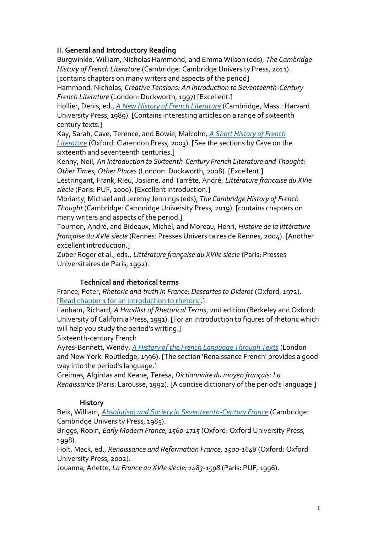## **II. General and Introductory Reading**

Burgwinkle, William, Nicholas Hammond, and Emma Wilson (eds), *The Cambridge History of French Literature* (Cambridge: Cambridge University Press, 2011). [contains chapters on many writers and aspects of the period]

Hammond, Nicholas, *Creative Tensions: An Introduction to Seventeenth-Century French Literature* (London: Duckworth, 1997) [Excellent.]

Hollier, Denis, ed., *[A New History of French Literature](about:blank)* (Cambridge, Mass.: Harvard University Press, 1989). [Contains interesting articles on a range of sixteenth century texts.]

Kay, Sarah, Cave, Terence, and Bowie, Malcolm, *[A Short History of French](about:blank)  [Literature](about:blank)* (Oxford: Clarendon Press, 2003). [See the sections by Cave on the sixteenth and seventeenth centuries.]

Kenny, Neil, *An Introduction to Sixteenth-Century French Literature and Thought: Other Times, Other Places* (London: Duckworth, 2008). [Excellent.]

Lestringant, Frank, Rieu, Josiane, and Tarrête, André, *Littérature francaise du XVIe siècle* (Paris: PUF, 2000). [Excellent introduction.]

Moriarty, Michael and Jeremy Jennings (eds), *The Cambridge History of French Thought* (Cambridge: Cambridge University Press, 2019). [contains chapters on many writers and aspects of the period.]

Tournon, André, and Bideaux, Michel, and Moreau, Henri, *Histoire de la littérature française du XVIe siècle* (Rennes: Presses Universitaires de Rennes, 2004). [Another excellent introduction.]

Zuber Roger et al., eds., *Littérature française du XVIIe siècle* (Paris: Presses Universitaires de Paris, 1992).

## **Technical and rhetorical terms**

France, Peter, *Rhetoric and truth in France: Descartes to Diderot* (Oxford, 1972). [\[Read chapter 1 for an introduction to rhetoric.](about:blank)]

Lanham, Richard, *A Handlist of Rhetorical Terms*, 2nd edition (Berkeley and Oxford: University of California Press, 1991). [For an introduction to figures of rhetoric which will help you study the period's writing.]

Sixteenth-century French

Ayres-Bennett, Wendy, *[A History of the French Language Through Texts](about:blank)* (London and New York: Routledge, 1996). [The section 'Renaissance French' provides a good way into the period's language.]

Greimas, Algirdas and Keane, Teresa, *Dictionnaire du moyen français: La Renaissance* (Paris: Larousse, 1992). [A concise dictionary of the period's language.]

## **History**

Beik, William, *[Absolutism and Society in Seventeenth-Century France](about:blank)* (Cambridge: Cambridge University Press, 1985).

Briggs, Robin, *Early Modern France, 1560-1715* (Oxford: Oxford University Press, 1998).

Holt, Mack*,* ed., *Renaissance and Reformation France, 1500-1648* (Oxford: Oxford University Press, 2002).

Jouanna, Arlette, *La France au XVIe siècle: 1483-1598* (Paris: PUF, 1996).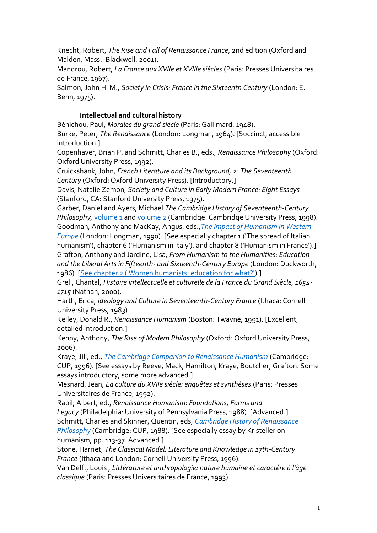Knecht, Robert, *The Rise and Fall of Renaissance France*, 2nd edition (Oxford and Malden, Mass.: Blackwell, 2001).

Mandrou, Robert, *La France aux XVIIe et XVIIIe siècles* (Paris: Presses Universitaires de France, 1967).

Salmon, John H. M., *Society in Crisis: France in the Sixteenth Century* (London: E. Benn, 1975).

## **Intellectual and cultural history**

Bénichou, Paul, *Morales du grand siècle* (Paris: Gallimard, 1948). Burke, Peter, *The Renaissance* (London: Longman, 1964). [Succinct, accessible introduction.]

Copenhaver, Brian P. and Schmitt, Charles B., eds., *Renaissance Philosophy* (Oxford: Oxford University Press, 1992).

Cruickshank, John, *French Literature and its Background, 2: The Seventeenth Century* (Oxford: Oxford University Press). [Introductory.]

Davis, Natalie Zemon, *Society and Culture in Early Modern France: Eight Essays*  (Stanford, CA: Stanford University Press, 1975).

Garber, Daniel and Ayers, Michael *The Cambridge History of Seventeenth-Century Philosophy, [volume 1](about:blank) and [volume 2](about:blank) (Cambridge: Cambridge University Press, 1998).* Goodman, Anthony and MacKay, Angus, eds.,*[The Impact of Humanism in Western](about:blank)* 

*[Europe](about:blank)* (London: Longman, 1990). [See especially chapter 1 ('The spread of Italian humanism'), chapter 6 ('Humanism in Italy'), and chapter 8 ('Humanism in France').] Grafton, Anthony and Jardine, Lisa, *From Humanism to the Humanities: Education and the Liberal Arts in Fifteenth- and Sixteenth-Century Europe* (London: Duckworth,

1986). [\[See chapter 2 \('Women humanists: education for what?'\)](about:blank).]

Grell, Chantal, *Histoire intellectuelle et culturelle de la France du Grand Siècle, 1654- 1715* (Nathan, 2000).

Harth, Erica, *Ideology and Culture in Seventeenth-Century France* (Ithaca: Cornell University Press, 1983).

Kelley, Donald R., *Renaissance Humanism* (Boston: Twayne, 1991). [Excellent, detailed introduction.]

Kenny, Anthony, *The Rise of Modern Philosophy* (Oxford: Oxford University Press, 2006).

Kraye, Jill, ed., *[The Cambridge Companion to Renaissance Humanism](about:blank)* (Cambridge: CUP, 1996). [See essays by Reeve, Mack, Hamilton, Kraye, Boutcher, Grafton. Some essays introductory, some more advanced.]

Mesnard, Jean, *La culture du XVIIe siècle: enquêtes et synthèses* (Paris: Presses Universitaires de France, 1992).

Rabil, Albert*,* ed., *Renaissance Humanism: Foundations, Forms and Legacy* (Philadelphia: University of Pennsylvania Press, 1988). [Advanced.] Schmitt, Charles and Skinner, Quentin, eds, *[Cambridge History of Renaissance](about:blank)  [Philosophy](about:blank)* (Cambridge: CUP, 1988). [See especially essay by Kristeller on humanism, pp. 113-37. Advanced.]

Stone, Harriet, *The Classical Model: Literature and Knowledge in 17th-Century France* (Ithaca and London: Cornell University Press, 1996).

Van Delft, Louis , *Littérature et anthropologie: nature humaine et caractère à l'âge classique* (Paris: Presses Universitaires de France, 1993).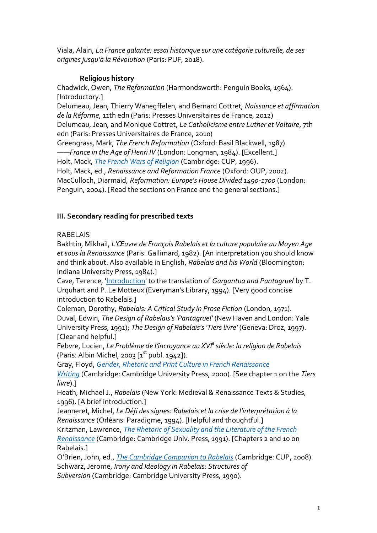Viala, Alain, *La France galante: essai historique sur une catégorie culturelle, de ses origines jusqu'à la Révolution* (Paris: PUF, 2018).

## **Religious history**

Chadwick, Owen, *The Reformation* (Harmondsworth: Penguin Books, 1964). [Introductory.] Delumeau, Jean, Thierry Wanegffelen, and Bernard Cottret, *Naissance et affirmation de la Réforme*, 11th edn (Paris: Presses Universitaires de France, 2012) Delumeau, Jean, and Monique Cottret, *Le Catholicisme entre Luther et Voltaire*, 7th edn (Paris: Presses Universitaires de France, 2010) Greengrass, Mark, *The French Reformation* (Oxford: Basil Blackwell, 1987). ——*France in the Age of Henri IV* (London: Longman, 1984). [Excellent.] Holt, Mack, *[The French Wars of Religion](about:blank)* (Cambridge: CUP, 1996). Holt, Mack, ed., *Renaissance and Reformation France* (Oxford: OUP, 2002). MacCulloch, Diarmaid, *Reformation: Europe's House Divided 1490-1700* (London: Penguin, 2004). [Read the sections on France and the general sections.]

# **III. Secondary reading for prescribed texts**

# RABELAIS

Bakhtin, Mikhail, *L'Œuvre de François Rabelais et la culture populaire au Moyen Age et sous la Renaissance* (Paris: Gallimard, 1982). [An interpretation you should know and think about. Also available in English, *Rabelais and his World* (Bloomington: Indiana University Press, 1984).]

Cave, Terence, ['Introduction'](about:blank) to the translation of *Gargantua and Pantagruel* by T. Urquhart and P. Le Motteux (Everyman's Library, 1994). [Very good concise introduction to Rabelais.]

Coleman, Dorothy, *Rabelais: A Critical Study in Prose Fiction* (London, 1971). Duval, Edwin, *The Design of Rabelais's 'Pantagruel'* (New Haven and London: Yale University Press, 1991); *The Design of Rabelais's 'Tiers livre'* (Geneva: Droz, 1997). [Clear and helpful.]

Febvre, Lucien, *Le Problème de l'incroyance au XVI<sup>e</sup> siècle: la religion de Rabelais*  (Paris: Albin Michel, 2003  $[x<sup>st</sup>$  publ. 1942]).

Gray, Floyd, *[Gender, Rhetoric and Print Culture in French Renaissance](about:blank)* 

*[Writing](about:blank)* (Cambridge: Cambridge University Press, 2000). [See chapter 1 on the *Tiers livre*).]

Heath, Michael J., *Rabelais* (New York: Medieval & Renaissance Texts & Studies, 1996). [A brief introduction.]

Jeanneret, Michel, *Le Défi des signes: Rabelais et la crise de l'interprétation à la Renaissance* (Orléans: Paradigme, 1994). [Helpful and thoughtful.]

Kritzman, Lawrence, *[The Rhetoric of Sexuality and the Literature of the French](about:blank)  [Renaissance](about:blank)* (Cambridge: Cambridge Univ. Press, 1991). [Chapters 2 and 10 on Rabelais.]

O'Brien, John, ed., *[The Cambridge Companion to Rabelais](about:blank)* (Cambridge: CUP, 2008). Schwarz, Jerome, *Irony and Ideology in Rabelais: Structures of Subversion* (Cambridge: Cambridge University Press, 1990).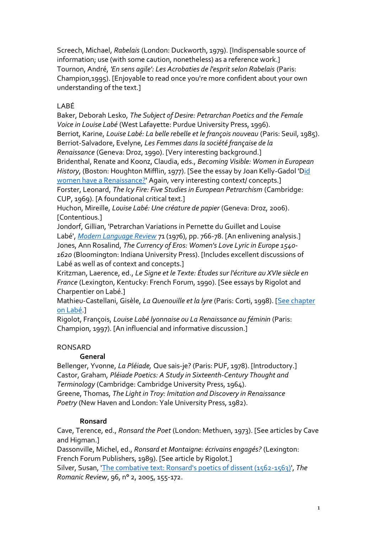Screech, Michael, *Rabelais* (London: Duckworth, 1979). [Indispensable source of information; use (with some caution, nonetheless) as a reference work.] Tournon, André, *'En sens agile': Les Acrobaties de l'esprit selon Rabelais* (Paris: Champion,1995). [Enjoyable to read once you're more confident about your own understanding of the text.]

# LABÉ

Baker, Deborah Lesko, *The Subject of Desire: Petrarchan Poetics and the Female Voice in Louise Labé* (West Lafayette: Purdue University Press, 1996). Berriot, Karine, *Louise Labé: La belle rebelle et le françois nouveau* (Paris: Seuil, 1985). Berriot-Salvadore, Evelyne*, Les Femmes dans la société française de la Renaissance* (Geneva: Droz, 1990). [Very interesting background.] Bridenthal, Renate and Koonz, Claudia, eds., *Becoming Visible: Women in European History*, (Boston: Houghton Mifflin, 1977). [See the essay by Joan Kelly-Gadol '[Did](about:blank)  [women have a Renaissance?'](about:blank) Again, very interesting context/ concepts.] Forster, Leonard, *The Icy Fire: Five Studies in European Petrarchism* (Cambridge: CUP, 1969). [A foundational critical text.]

Huchon, Mireille, *Louise Labé: Une créature de papier* (Geneva: Droz, 2006). [Contentious.]

Jondorf, Gillian, 'Petrarchan Variations in Pernette du Guillet and Louise Labé', *[Modern Language Review](about:blank)* 71 (1976), pp. 766-78. [An enlivening analysis.] Jones, Ann Rosalind, *The Currency of Eros: Women's Love Lyric in Europe 1540- 1620* (Bloomington: Indiana University Press). [Includes excellent discussions of Labé as well as of context and concepts.]

Kritzman, Laerence, ed., *Le Signe et le Texte: Études sur l'écriture au XVIe siècle en France* (Lexington, Kentucky: French Forum, 1990). [See essays by Rigolot and Charpentier on Labé.]

Mathieu-Castellani, Gisèle, *La Quenouille et la lyre* (Paris: Corti, 1998). [\[See chapter](about:blank)  [on Labé.](about:blank)]

Rigolot, François, *Louise Labé lyonnaise ou La Renaissance au féminin* (Paris: Champion, 1997). [An influencial and informative discussion.]

# RONSARD

# **General**

Bellenger, Yvonne, *La Pléiade,* Que sais-je? (Paris: PUF, 1978). [Introductory.] Castor, Graham, *Pléiade Poetics: A Study in Sixteenth-Century Thought and Terminology* (Cambridge: Cambridge University Press, 1964). Greene, Thomas, *The Light in Troy: Imitation and Discovery in Renaissance Poetry* (New Haven and London: Yale University Press, 1982).

# **Ronsard**

Cave, Terence, ed., *Ronsard the Poet* (London: Methuen, 1973). [See articles by Cave and Higman.]

Dassonville, Michel, ed., *Ronsard et Montaigne: écrivains engagés?* (Lexington: French Forum Publishers, 1989). [See article by Rigolot.]

Silver, Susan, ['The combative text: Ronsard's poetics of dissent \(1562-1563\)',](about:blank) *The Romanic Review*, 96, n° 2, 2005, 155-172.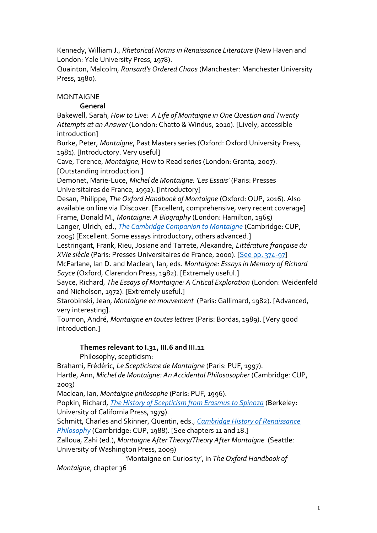Kennedy, William J., *Rhetorical Norms in Renaissance Literature* (New Haven and London: Yale University Press, 1978).

Quainton, Malcolm, *Ronsard's Ordered Chaos* (Manchester: Manchester University Press, 1980).

## MONTAIGNE

## **General**

Bakewell, Sarah, *How to Live: A Life of Montaigne in One Question and Twenty Attempts at an Answer* (London: Chatto & Windus, 2010). [Lively, accessible introduction]

Burke, Peter, *Montaigne*, Past Masters series (Oxford: Oxford University Press, 1981). [Introductory. Very useful]

Cave, Terence, *Montaigne*, How to Read series (London: Granta, 2007). [Outstanding introduction.]

Demonet, Marie-Luce, *Michel de Montaigne: 'Les Essais'* (Paris: Presses Universitaires de France, 1992). [Introductory]

Desan, Philippe, *The Oxford Handbook of Montaigne* (Oxford: OUP, 2016). Also available on line via IDiscover. [Excellent, comprehensive, very recent coverage] Frame, Donald M., *Montaigne: A Biography* (London: Hamilton, 1965)

Langer, Ulrich, ed., *[The Cambridge Companion to Montaigne](about:blank)* (Cambridge: CUP, 2005) [Excellent. Some essays introductory, others advanced.]

Lestringant, Frank, Rieu, Josiane and Tarrete, Alexandre, *Littérature française du XVIe siècle* (Paris: Presses Universitaires de France, 2000). [\[See pp. 374-97\]](about:blank)

McFarlane, Ian D. and Maclean, Ian, eds. *Montaigne: Essays in Memory of Richard Sayce* (Oxford, Clarendon Press, 1982). [Extremely useful.]

Sayce, Richard, *The Essays of Montaigne: A Critical Exploration* (London: Weidenfeld and Nicholson, 1972). [Extremely useful.]

Starobinski, Jean, *Montaigne en mouvement* (Paris: Gallimard, 1982). [Advanced, very interesting].

Tournon, André, *Montaigne en toutes lettres* (Paris: Bordas, 1989). [Very good introduction.]

## **Themes relevant to I.31, III.6 and III.11**

Philosophy, scepticism:

Brahami, Frédéric, *Le Scepticisme de Montaigne* (Paris: PUF, 1997). Hartle, Ann, *Michel de Montaigne: An Accidental Philososopher* (Cambridge: CUP, 2003)

Maclean, Ian, *Montaigne philosophe* (Paris: PUF, 1996).

Popkin, Richard, *[The History of Scepticism from Erasmus to Spinoza](about:blank)* (Berkeley: University of California Press, 1979).

Schmitt, Charles and Skinner, Quentin, eds., *[Cambridge History of Renaissance](about:blank)  [Philosophy](about:blank)* (Cambridge: CUP, 1988). [See chapters 11 and 18.]

Zalloua, Zahi (ed.), *Montaigne After Theory/Theory After Montaigne* (Seattle: University of Washington Press, 2009)

'Montaigne on Curiosity', in *The Oxford Handbook of* 

*Montaigne*, chapter 36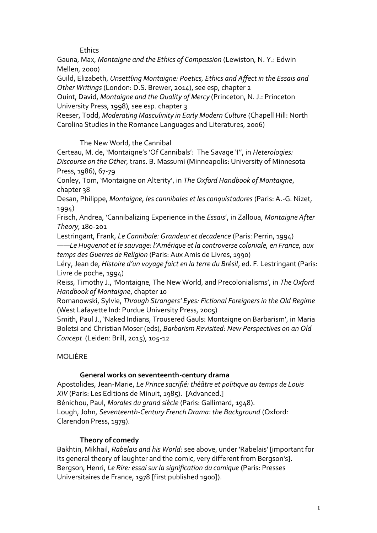**Ethics** 

Gauna, Max, *Montaigne and the Ethics of Compassion* (Lewiston, N. Y.: Edwin Mellen, 2000)

Guild, Elizabeth, *Unsettling Montaigne: Poetics, Ethics and Affect in the Essais and Other Writings* (London: D.S. Brewer, 2014), see esp, chapter 2

Quint, David, *Montaigne and the Quality of Mercy* (Princeton, N. J.: Princeton University Press, 1998), see esp. chapter 3

Reeser, Todd, *Moderating Masculinity in Early Modern Culture* (Chapell Hill: North Carolina Studies in the Romance Languages and Literatures, 2006)

The New World, the Cannibal

Certeau, M. de, 'Montaigne's 'Of Cannibals': The Savage 'I'', in *Heterologies: Discourse on the Other*, trans. B. Massumi (Minneapolis: University of Minnesota Press, 1986), 67-79

Conley, Tom, 'Montaigne on Alterity', in *The Oxford Handbook of Montaigne*, chapter 38

Desan, Philippe, *Montaigne, les cannibales et les conquistadores* (Paris: A.-G. Nizet, 1994)

Frisch, Andrea, 'Cannibalizing Experience in the *Essais*', in Zalloua, *Montaigne After Theory*, 180-201

Lestringant, Frank, *Le Cannibale: Grandeur et decadence* (Paris: Perrin, 1994)

*——Le Huguenot et le sauvage: l'Amérique et la controverse coloniale, en France, aux temps des Guerres de Religion* (Paris: Aux Amis de Livres, 1990)

Léry, Jean de, *Histoire d'un voyage faict en la terre du Brésil*, ed. F. Lestringant (Paris: Livre de poche, 1994)

Reiss, Timothy J., 'Montaigne, The New World, and Precolonialisms', in *The Oxford Handbook of Montaigne*, chapter 10

Romanowski, Sylvie, *Through Strangers' Eyes: Fictional Foreigners in the Old Regime* (West Lafayette Ind: Purdue University Press, 2005)

Smith, Paul J., 'Naked Indians, Trousered Gauls: Montaigne on Barbarism', in Maria Boletsi and Christian Moser (eds), *Barbarism Revisited: New Perspectives on an Old Concept* (Leiden: Brill, 2015), 105-12

# MOLIÈRE

## **General works on seventeenth-century drama**

Apostolides, Jean-Marie, *Le Prince sacrifié: théâtre et politique au temps de Louis XIV* (Paris: Les Editions de Minuit, 1985). [Advanced.] Bénichou, Paul, *Morales du grand siècle* (Paris: Gallimard, 1948). Lough, John, *Seventeenth-Century French Drama: the Background* (Oxford: Clarendon Press, 1979).

# **Theory of comedy**

Bakhtin, Mikhail, *Rabelais and his World*: see above, under 'Rabelais' [important for its general theory of laughter and the comic, very different from Bergson's]. Bergson, Henri, *Le Rire: essai sur la signification du comique* (Paris: Presses Universitaires de France, 1978 [first published 1900]).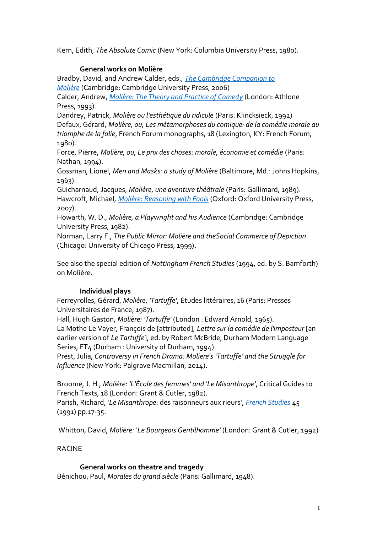Kern, Edith, *The Absolute Comic* (New York: Columbia University Press, 1980).

## **General works on Molière**

Bradby, David, and Andrew Calder, eds., *[The Cambridge Companion to](about:blank)  [Molière](about:blank)* (Cambridge: Cambridge University Press, 2006)

Calder, Andrew, *Molière: [The Theory and Practice of Comedy](about:blank)* (London: Athlone Press, 1993).

Dandrey, Patrick, *Molière ou l'esthétique du ridicule* (Paris: Klincksieck, 1992) Defaux, Gérard, *Molière, ou, Les métamorphoses du comique: de la comédie morale au triomphe de la folie*, French Forum monographs, 18 (Lexington, KY: French Forum, 1980).

Force, Pierre, *Molière, ou, Le prix des choses: morale, économie et comédie* (Paris: Nathan, 1994).

Gossman, Lionel, *Men and Masks: a study of Molière* (Baltimore, Md.: Johns Hopkins, 1963).

Guicharnaud, Jacques, *Molière, une aventure théâtrale* (Paris: Gallimard, 1989). Hawcroft, Michael, *[Molière: Reasoning with Fools](about:blank)* (Oxford: Oxford University Press, 2007).

Howarth, W. D., *Molière, a Playwright and his Audience* (Cambridge: Cambridge University Press, 1982).

Norman, Larry F., *The Public Mirror: Molière and theSocial Commerce of Depiction* (Chicago: University of Chicago Press, 1999).

See also the special edition of *Nottingham French Studies* (1994, ed. by S. Bamforth) on Molière.

## **Individual plays**

Ferreyrolles, Gérard, *Molière, 'Tartuffe'*, Études littéraires, 16 (Paris: Presses Universitaires de France, 1987).

Hall, Hugh Gaston, *Molière: 'Tartuffe'* (London : Edward Arnold, 1965). La Mothe Le Vayer, François de [attributed], *Lettre sur la comédie de l'imposteur* [an earlier version of *Le Tartuffe*], ed. by Robert McBride, Durham Modern Language Series, FT4 (Durham : University of Durham, 1994).

Prest, Julia, *Controversy in French Drama: Moliere's 'Tartuffe' and the Struggle for Influence* (New York: Palgrave Macmillan, 2014).

Broome, J. H., *Molière*: *'L'École des femmes' and 'Le Misanthrope'*, Critical Guides to French Texts, 18 (London: Grant & Cutler, 1982).

Parish, Richard, '*Le Misanthrope*: des raisonneurs aux rieurs', *[French Studies](about:blank)* 45 (1991) pp.17-35.

Whitton, David, *Molière: 'Le Bourgeois Gentilhomme'* (London: Grant & Cutler, 1992)

## RACINE

#### **General works on theatre and tragedy**

Bénichou, Paul, *Morales du grand siècle* (Paris: Gallimard, 1948).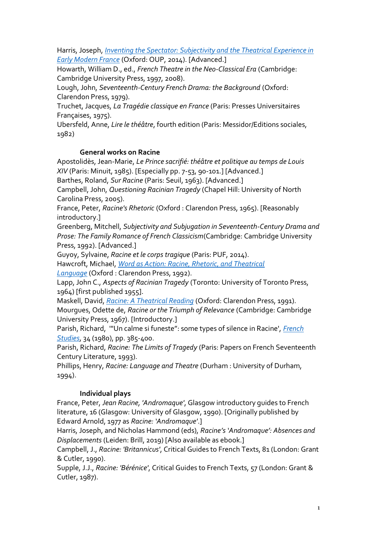Harris, Joseph, *[Inventing the Spectator: Subjectivity and the Theatrical Experience in](about:blank)  [Early Modern France](about:blank)* (Oxford: OUP, 2014). [Advanced.]

Howarth, William D., ed., *French Theatre in the Neo-Classical Era* (Cambridge: Cambridge University Press, 1997, 2008).

Lough, John, *Seventeenth-Century French Drama: the Background* (Oxford: Clarendon Press, 1979).

Truchet, Jacques, *La Tragédie classique en France* (Paris: Presses Universitaires Françaises, 1975).

Ubersfeld, Anne, *Lire le théâtre*, fourth edition (Paris: Messidor/Editions sociales, 1982)

## **General works on Racine**

Apostolidès, Jean-Marie, *Le Prince sacrifié: théâtre et politique au temps de Louis XIV* (Paris: Minuit, 1985). [Especially pp. 7-53, 90-101.] [Advanced.]

Barthes, Roland, *Sur Racine* (Paris: Seuil, 1963). [Advanced.]

Campbell, John, *Questioning Racinian Tragedy* (Chapel Hill: University of North Carolina Press, 2005).

France, Peter, *Racine's Rhetoric* (Oxford : Clarendon Press, 1965). [Reasonably introductory.]

Greenberg, Mitchell, *Subjectivity and Subjugation in Seventeenth-Century Drama and Prose: The Family Romance of French Classicism*(Cambridge: Cambridge University Press, 1992). [Advanced.]

Guyoy, Sylvaine, *Racine et le corps tragique* (Paris: PUF, 2014).

Hawcroft, Michael, *[Word as Action: Racine, Rhetoric, and Theatrical](about:blank)* 

*[Language](about:blank)* (Oxford : Clarendon Press, 1992).

Lapp, John C., *Aspects of Racinian Tragedy* (Toronto: University of Toronto Press, 1964) [first published 1955].

Maskell, David, *[Racine: A Theatrical Reading](about:blank)* (Oxford: Clarendon Press, 1991). Mourgues, Odette de, *Racine or the Triumph of Relevance* (Cambridge: Cambridge University Press, 1967). [Introductory.]

Parish, Richard, '"Un calme si funeste": some types of silence in Racine', *[French](about:blank)  [Studies](about:blank)*, 34 (1980), pp. 385-400.

Parish, Richard, *Racine: The Limits of Tragedy* (Paris: Papers on French Seventeenth Century Literature, 1993).

Phillips, Henry, *Racine: Language and Theatre* (Durham : University of Durham, 1994).

# **Individual plays**

France, Peter, *Jean Racine, 'Andromaque'*, Glasgow introductory guides to French literature, 16 (Glasgow: University of Glasgow, 1990). [Originally published by Edward Arnold, 1977 as *Racine: 'Andromaque'*.]

Harris, Joseph, and Nicholas Hammond (eds), *Racine's 'Andromaque': Absences and Displacements* (Leiden: Brill, 2019) [Also available as ebook.]

Campbell, J., *Racine: 'Britannicus'*, Critical Guides to French Texts, 81 (London: Grant & Cutler, 1990).

Supple, J.J., *Racine: 'Bérénice'*, Critical Guides to French Texts, 57 (London: Grant & Cutler, 1987).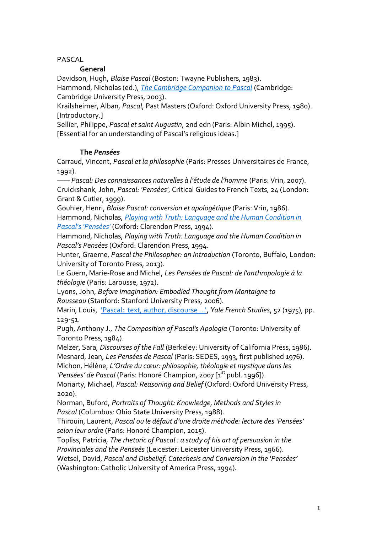## PASCAL

## **General**

Davidson, Hugh, *Blaise Pascal* (Boston: Twayne Publishers, 1983).

Hammond, Nicholas (ed.), *[The Cambridge Companion to Pascal](about:blank)* (Cambridge: Cambridge University Press, 2003).

Krailsheimer, Alban, *Pascal*, Past Masters (Oxford: Oxford University Press, 1980). [Introductory.]

Sellier, Philippe, *Pascal et saint Augustin*, 2nd edn (Paris: Albin Michel, 1995). [Essential for an understanding of Pascal's religious ideas.]

# **The** *Pensées*

Carraud, Vincent, *Pascal et la philosophie* (Paris: Presses Universitaires de France, 1992).

—— *Pascal: Des connaissances naturelles à l'étude de l'homme* (Paris: Vrin, 2007). Cruickshank, John, *Pascal: 'Pensées'*, Critical Guides to French Texts, 24 (London: Grant & Cutler, 1999).

Gouhier, Henri, *Blaise Pascal: conversion et apologétique* (Paris: Vrin, 1986). Hammond, Nicholas, *[Playing with Truth: Language and the Human Condition in](about:blank)  [Pascal's 'Pensées'](about:blank)* (Oxford: Clarendon Press, 1994).

Hammond, Nicholas, *Playing with Truth: Language and the Human Condition in Pascal's Pensées* (Oxford: Clarendon Press, 1994.

Hunter, Graeme, *Pascal the Philosopher: an Introduction* (Toronto, Buffalo, London: University of Toronto Press, 2013).

Le Guern, Marie-Rose and Michel, *Les Pensées de Pascal: de l'anthropologie à la théologie* (Paris: Larousse, 1972).

Lyons, John, *Before Imagination: Embodied Thought from Montaigne to Rousseau* (Stanford: Stanford University Press, 2006).

Marin, Louis, 'Pascal: [text, author, discourse ...',](about:blank#page_scan_tab_contents) *Yale French Studies*, 52 (1975), pp. 129-51.

Pugh, Anthony J., *The Composition of Pascal's Apologia* (Toronto: University of Toronto Press, 1984).

Melzer, Sara, *Discourses of the Fall* (Berkeley: University of California Press, 1986). Mesnard, Jean, *Les Pensées de Pascal* (Paris: SEDES, 1993, first published 1976). Michon, Hélène, *L'Ordre du cœur: philosophie, théologie et mystique dans les*  'Pensées' de Pascal (Paris: Honoré Champion, 2007 [1<sup>st</sup> publ. 1996]).

Moriarty, Michael, *Pascal: Reasoning and Belief* (Oxford: Oxford University Press, 2020).

Norman, Buford, *Portraits of Thought: Knowledge, Methods and Styles in Pascal* (Columbus: Ohio State University Press, 1988).

Thirouin, Laurent, *Pascal ou le défaut d'une droite méthode: lecture des 'Pensées' selon leur ordre* (Paris: Honoré Champion, 2015).

Topliss, Patricia, *The rhetoric of Pascal : a study of his art of persuasion in the Provinciales and the Penseés* (Leicester: Leicester University Press, 1966).

Wetsel, David, *Pascal and Disbelief: Catechesis and Conversion in the 'Pensées'*  (Washington: Catholic University of America Press, 1994).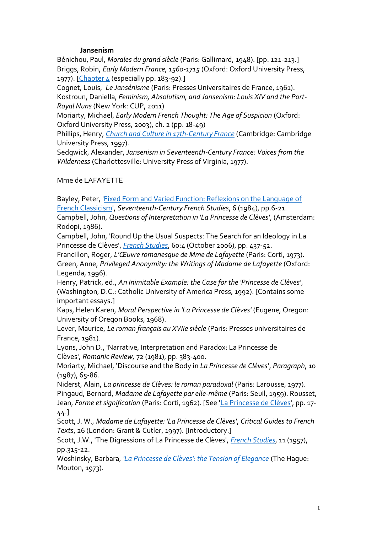#### **Jansenism**

Bénichou, Paul, *Morales du grand siècle* (Paris: Gallimard, 1948). [pp. 121-213.] Briggs, Robin, *Early Modern France, 1560-1715* (Oxford: Oxford University Press, 1977). [\[Chapter 4](about:blank) (especially pp. 183-92).]

Cognet, Louis, *Le Jansénisme* (Paris: Presses Universitaires de France, 1961). Kostroun, Daniella, *Feminism, Absolutism, and Jansenism: Louis XIV and the Port-Royal Nuns* (New York: CUP, 2011)

Moriarty, Michael, *Early Modern French Thought: The Age of Suspicion* (Oxford: Oxford University Press, 2003), ch. 2 (pp. 18-49)

Phillips, Henry, *[Church and Culture in 17th-Century France](about:blank)* (Cambridge: Cambridge University Press, 1997).

Sedgwick, Alexander, *Jansenism in Seventeenth-Century France: Voices from the Wilderness* (Charlottesville: University Press of Virginia, 1977).

Mme de LAFAYETTE

Bayley, Peter, ['Fixed Form and Varied Function: Reflexions on the Language of](about:blank)  [French Classicism',](about:blank) *Seventeenth-Century French Studies*, 6 (1984), pp.6-21. Campbell, John, *Questions of Interpretation in 'La Princesse de Clèves'*, (Amsterdam: Rodopi, 1986).

Campbell, John, 'Round Up the Usual Suspects: The Search for an Ideology in La Princesse de Clèves', *[French Studies](about:blank)*, 60:4 (October 2006), pp. 437-52.

Francillon, Roger, *L'Œuvre romanesque de Mme de Lafayette* (Paris: Corti, 1973). Green, Anne, *Privileged Anonymity: the Writings of Madame de Lafayette* (Oxford: Legenda, 1996).

Henry, Patrick, ed., *An Inimitable Example: the Case for the 'Princesse de Clèves'*, (Washington, D.C.: Catholic University of America Press, 1992). [Contains some important essays.]

Kaps, Helen Karen, *Moral Perspective in 'La Princesse de Clèves'* (Eugene, Oregon: University of Oregon Books, 1968).

Lever, Maurice, *Le roman français au XVIIe siècle* (Paris: Presses universitaires de France, 1981).

Lyons, John D., 'Narrative, Interpretation and Paradox: La Princesse de Clèves', *Romanic Review,* 72 (1981), pp. 383-400.

Moriarty, Michael, 'Discourse and the Body in *La Princesse de Clèves*', *Paragraph*, 10 (1987), 65-86.

Niderst, Alain, *La princesse de Clèves: le roman paradoxal* (Paris: Larousse, 1977). Pingaud, Bernard, *Madame de Lafayette par elle-même* (Paris: Seuil, 1959). Rousset, Jean, *Forme et signification* (Paris: Corti, 1962). [See ['La Princesse de Clèves'](about:blank), pp. 17- 44.]

Scott, J. W., *Madame de Lafayette: 'La Princesse de Clèves'*, *Critical Guides to French Texts*, 26 (London: Grant & Cutler, 1997). [Introductory.]

Scott, J.W., 'The Digressions of La Princesse de Clèves', *[French Studies](about:blank)*, 11 (1957), pp.315-22.

Woshinsky, Barbara, *['La Princesse de Clèves': the Tension of Elegance](about:blank)* (The Hague: Mouton, 1973).